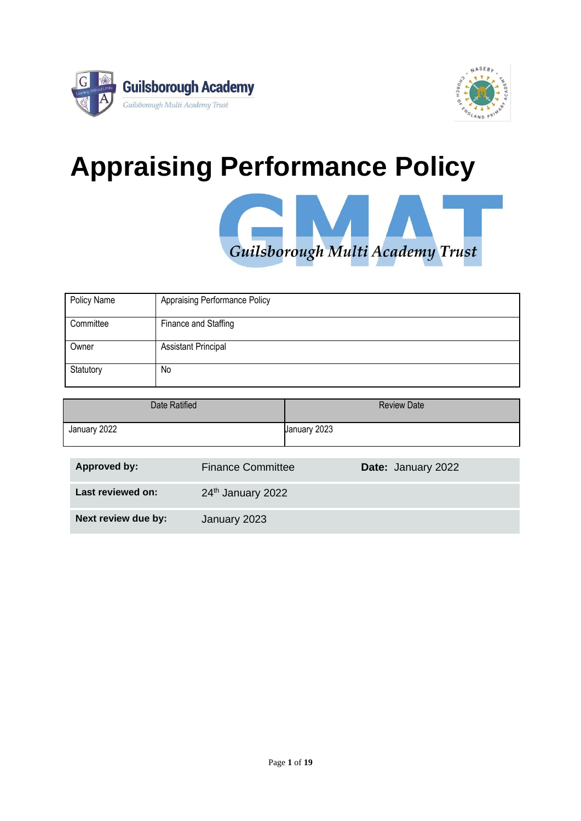



# **Appraising Performance Policy**



| Policy Name | <b>Appraising Performance Policy</b> |
|-------------|--------------------------------------|
| Committee   | Finance and Staffing                 |
| Owner       | <b>Assistant Principal</b>           |
| Statutory   | No                                   |

| Date Ratified | <b>Review Date</b> |
|---------------|--------------------|
| January 2022  | January 2023       |

| Approved by:        | <b>Finance Committee</b> | Date: January 2022 |
|---------------------|--------------------------|--------------------|
| Last reviewed on:   | 24th January 2022        |                    |
| Next review due by: | January 2023             |                    |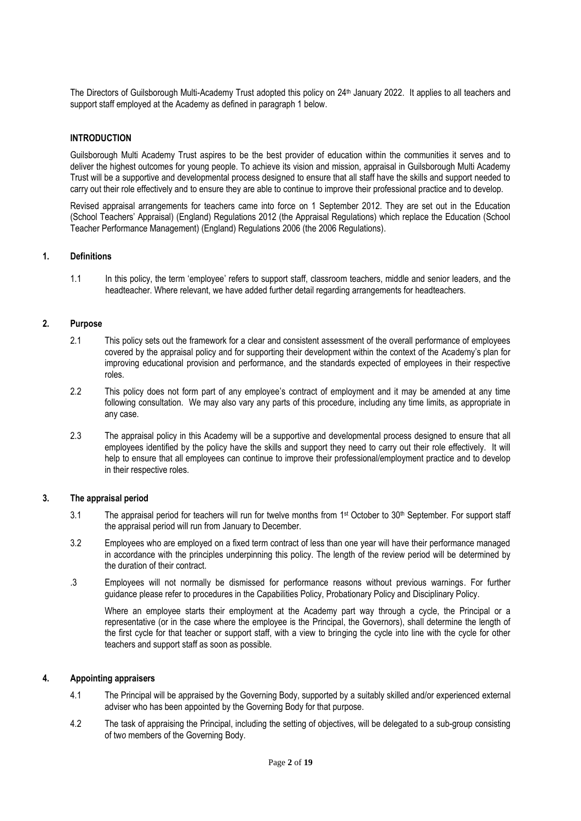The Directors of Guilsborough Multi-Academy Trust adopted this policy on 24<sup>th</sup> January 2022. It applies to all teachers and support staff employed at the Academy as defined in paragraph 1 below.

#### **INTRODUCTION**

Guilsborough Multi Academy Trust aspires to be the best provider of education within the communities it serves and to deliver the highest outcomes for young people. To achieve its vision and mission, appraisal in Guilsborough Multi Academy Trust will be a supportive and developmental process designed to ensure that all staff have the skills and support needed to carry out their role effectively and to ensure they are able to continue to improve their professional practice and to develop.

Revised appraisal arrangements for teachers came into force on 1 September 2012. They are set out in the Education (School Teachers' Appraisal) (England) Regulations 2012 (the Appraisal Regulations) which replace the Education (School Teacher Performance Management) (England) Regulations 2006 (the 2006 Regulations).

#### **1. Definitions**

1.1 In this policy, the term 'employee' refers to support staff, classroom teachers, middle and senior leaders, and the headteacher. Where relevant, we have added further detail regarding arrangements for headteachers.

#### **2. Purpose**

- 2.1 This policy sets out the framework for a clear and consistent assessment of the overall performance of employees covered by the appraisal policy and for supporting their development within the context of the Academy's plan for improving educational provision and performance, and the standards expected of employees in their respective roles.
- 2.2 This policy does not form part of any employee's contract of employment and it may be amended at any time following consultation. We may also vary any parts of this procedure, including any time limits, as appropriate in any case.
- 2.3 The appraisal policy in this Academy will be a supportive and developmental process designed to ensure that all employees identified by the policy have the skills and support they need to carry out their role effectively. It will help to ensure that all employees can continue to improve their professional/employment practice and to develop in their respective roles.

#### **3. The appraisal period**

- 3.1 The appraisal period for teachers will run for twelve months from 1 st October to 30th September*.* For support staff the appraisal period will run from January to December.
- 3.2 Employees who are employed on a fixed term contract of less than one year will have their performance managed in accordance with the principles underpinning this policy. The length of the review period will be determined by the duration of their contract.
- .3 Employees will not normally be dismissed for performance reasons without previous warnings. For further guidance please refer to procedures in the Capabilities Policy, Probationary Policy and Disciplinary Policy.

Where an employee starts their employment at the Academy part way through a cycle, the Principal or a representative (or in the case where the employee is the Principal, the Governors), shall determine the length of the first cycle for that teacher or support staff, with a view to bringing the cycle into line with the cycle for other teachers and support staff as soon as possible.

#### **4. Appointing appraisers**

- 4.1 The Principal will be appraised by the Governing Body, supported by a suitably skilled and/or experienced external adviser who has been appointed by the Governing Body for that purpose.
- 4.2 The task of appraising the Principal, including the setting of objectives, will be delegated to a sub-group consisting of tw*o* members of the Governing Body.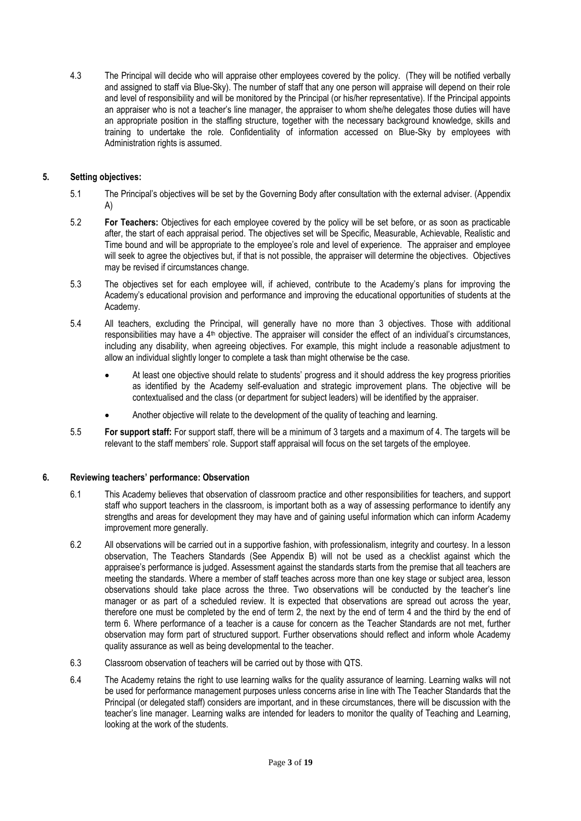4.3 The Principal will decide who will appraise other employees covered by the policy. (They will be notified verbally and assigned to staff via Blue-Sky). The number of staff that any one person will appraise will depend on their role and level of responsibility and will be monitored by the Principal (or his/her representative). If the Principal appoints an appraiser who is not a teacher's line manager, the appraiser to whom she/he delegates those duties will have an appropriate position in the staffing structure, together with the necessary background knowledge, skills and training to undertake the role. Confidentiality of information accessed on Blue-Sky by employees with Administration rights is assumed.

#### **5. Setting objectives:**

- 5.1 The Principal's objectives will be set by the Governing Body after consultation with the external adviser. (Appendix A)
- 5.2 **For Teachers:** Objectives for each employee covered by the policy will be set before, or as soon as practicable after, the start of each appraisal period. The objectives set will be Specific, Measurable, Achievable, Realistic and Time bound and will be appropriate to the employee's role and level of experience. The appraiser and employee will seek to agree the objectives but, if that is not possible, the appraiser will determine the objectives. Objectives may be revised if circumstances change.
- 5.3 The objectives set for each employee will, if achieved, contribute to the Academy's plans for improving the Academy's educational provision and performance and improving the educational opportunities of students at the Academy.
- 5.4 All teachers, excluding the Principal, will generally have no more than 3 objectives. Those with additional responsibilities may have a 4<sup>th</sup> objective. The appraiser will consider the effect of an individual's circumstances, including any disability, when agreeing objectives. For example, this might include a reasonable adjustment to allow an individual slightly longer to complete a task than might otherwise be the case.
	- At least one objective should relate to students' progress and it should address the key progress priorities as identified by the Academy self-evaluation and strategic improvement plans. The objective will be contextualised and the class (or department for subject leaders) will be identified by the appraiser.
	- Another objective will relate to the development of the quality of teaching and learning.
- 5.5 **For support staff:** For support staff, there will be a minimum of 3 targets and a maximum of 4. The targets will be relevant to the staff members' role. Support staff appraisal will focus on the set targets of the employee.

#### **6. Reviewing teachers' performance: Observation**

- 6.1 This Academy believes that observation of classroom practice and other responsibilities for teachers, and support staff who support teachers in the classroom, is important both as a way of assessing performance to identify any strengths and areas for development they may have and of gaining useful information which can inform Academy improvement more generally.
- 6.2 All observations will be carried out in a supportive fashion, with professionalism, integrity and courtesy. In a lesson observation, The Teachers Standards (See Appendix B) will not be used as a checklist against which the appraisee's performance is judged. Assessment against the standards starts from the premise that all teachers are meeting the standards. Where a member of staff teaches across more than one key stage or subject area, lesson observations should take place across the three. Two observations will be conducted by the teacher's line manager or as part of a scheduled review. It is expected that observations are spread out across the year, therefore one must be completed by the end of term 2, the next by the end of term 4 and the third by the end of term 6. Where performance of a teacher is a cause for concern as the Teacher Standards are not met, further observation may form part of structured support. Further observations should reflect and inform whole Academy quality assurance as well as being developmental to the teacher.
- 6.3 Classroom observation of teachers will be carried out by those with QTS.
- 6.4 The Academy retains the right to use learning walks for the quality assurance of learning. Learning walks will not be used for performance management purposes unless concerns arise in line with The Teacher Standards that the Principal (or delegated staff) considers are important, and in these circumstances, there will be discussion with the teacher's line manager. Learning walks are intended for leaders to monitor the quality of Teaching and Learning, looking at the work of the students.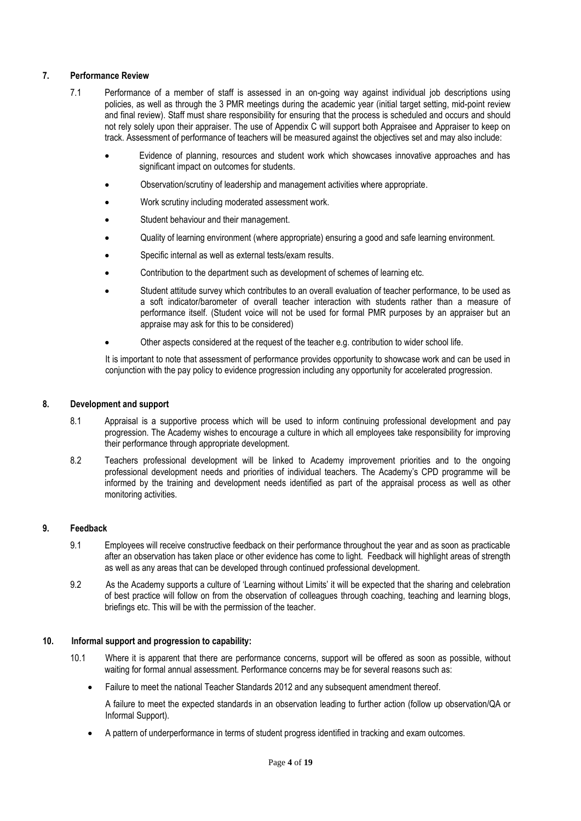#### **7. Performance Review**

- 7.1 Performance of a member of staff is assessed in an on-going way against individual job descriptions using policies, as well as through the 3 PMR meetings during the academic year (initial target setting, mid-point review and final review). Staff must share responsibility for ensuring that the process is scheduled and occurs and should not rely solely upon their appraiser. The use of Appendix C will support both Appraisee and Appraiser to keep on track. Assessment of performance of teachers will be measured against the objectives set and may also include:
	- Evidence of planning, resources and student work which showcases innovative approaches and has significant impact on outcomes for students.
	- Observation/scrutiny of leadership and management activities where appropriate.
	- Work scrutiny including moderated assessment work.
	- Student behaviour and their management.
	- Quality of learning environment (where appropriate) ensuring a good and safe learning environment.
	- Specific internal as well as external tests/exam results.
	- Contribution to the department such as development of schemes of learning etc.
	- Student attitude survey which contributes to an overall evaluation of teacher performance, to be used as a soft indicator/barometer of overall teacher interaction with students rather than a measure of performance itself. (Student voice will not be used for formal PMR purposes by an appraiser but an appraise may ask for this to be considered)
	- Other aspects considered at the request of the teacher e.g. contribution to wider school life.

It is important to note that assessment of performance provides opportunity to showcase work and can be used in conjunction with the pay policy to evidence progression including any opportunity for accelerated progression.

#### **8. Development and support**

- 8.1 Appraisal is a supportive process which will be used to inform continuing professional development and pay progression. The Academy wishes to encourage a culture in which all employees take responsibility for improving their performance through appropriate development.
- 8.2 Teachers professional development will be linked to Academy improvement priorities and to the ongoing professional development needs and priorities of individual teachers. The Academy's CPD programme will be informed by the training and development needs identified as part of the appraisal process as well as other monitoring activities.

#### **9. Feedback**

- 9.1 Employees will receive constructive feedback on their performance throughout the year and as soon as practicable after an observation has taken place or other evidence has come to light. Feedback will highlight areas of strength as well as any areas that can be developed through continued professional development.
- 9.2 As the Academy supports a culture of 'Learning without Limits' it will be expected that the sharing and celebration of best practice will follow on from the observation of colleagues through coaching, teaching and learning blogs, briefings etc. This will be with the permission of the teacher.

#### **10. Informal support and progression to capability:**

- 10.1 Where it is apparent that there are performance concerns, support will be offered as soon as possible, without waiting for formal annual assessment. Performance concerns may be for several reasons such as:
	- Failure to meet the national Teacher Standards 2012 and any subsequent amendment thereof.

A failure to meet the expected standards in an observation leading to further action (follow up observation/QA or Informal Support).

• A pattern of underperformance in terms of student progress identified in tracking and exam outcomes.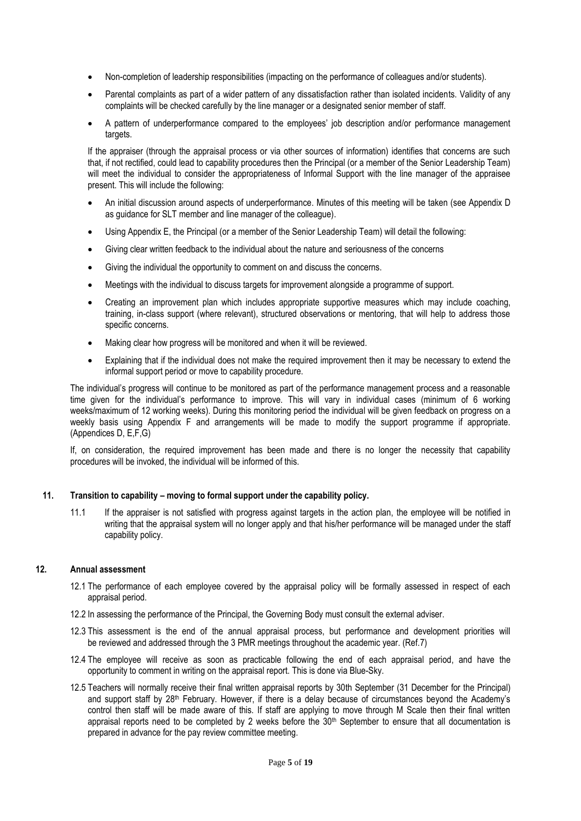- Non-completion of leadership responsibilities (impacting on the performance of colleagues and/or students).
- Parental complaints as part of a wider pattern of any dissatisfaction rather than isolated incidents. Validity of any complaints will be checked carefully by the line manager or a designated senior member of staff.
- A pattern of underperformance compared to the employees' job description and/or performance management targets.

If the appraiser (through the appraisal process or via other sources of information) identifies that concerns are such that, if not rectified, could lead to capability procedures then the Principal (or a member of the Senior Leadership Team) will meet the individual to consider the appropriateness of Informal Support with the line manager of the appraisee present. This will include the following:

- An initial discussion around aspects of underperformance. Minutes of this meeting will be taken (see Appendix D as guidance for SLT member and line manager of the colleague).
- Using Appendix E, the Principal (or a member of the Senior Leadership Team) will detail the following:
- Giving clear written feedback to the individual about the nature and seriousness of the concerns
- Giving the individual the opportunity to comment on and discuss the concerns.
- Meetings with the individual to discuss targets for improvement alongside a programme of support.
- Creating an improvement plan which includes appropriate supportive measures which may include coaching, training, in-class support (where relevant), structured observations or mentoring, that will help to address those specific concerns.
- Making clear how progress will be monitored and when it will be reviewed.
- Explaining that if the individual does not make the required improvement then it may be necessary to extend the informal support period or move to capability procedure.

The individual's progress will continue to be monitored as part of the performance management process and a reasonable time given for the individual's performance to improve. This will vary in individual cases (minimum of 6 working weeks/maximum of 12 working weeks). During this monitoring period the individual will be given feedback on progress on a weekly basis using Appendix F and arrangements will be made to modify the support programme if appropriate. (Appendices D, E,F,G)

If, on consideration, the required improvement has been made and there is no longer the necessity that capability procedures will be invoked, the individual will be informed of this.

#### **11. Transition to capability – moving to formal support under the capability policy.**

11.1 If the appraiser is not satisfied with progress against targets in the action plan, the employee will be notified in writing that the appraisal system will no longer apply and that his/her performance will be managed under the staff capability policy.

#### **12. Annual assessment**

- 12.1 The performance of each employee covered by the appraisal policy will be formally assessed in respect of each appraisal period.
- 12.2 In assessing the performance of the Principal, the Governing Body must consult the external adviser.
- 12.3 This assessment is the end of the annual appraisal process, but performance and development priorities will be reviewed and addressed through the 3 PMR meetings throughout the academic year. (Ref.7)
- 12.4 The employee will receive as soon as practicable following the end of each appraisal period, and have the opportunity to comment in writing on the appraisal report. This is done via Blue-Sky.
- 12.5 Teachers will normally receive their final written appraisal reports by 30th September (31 December for the Principal) and support staff by 28<sup>th</sup> February. However, if there is a delay because of circumstances beyond the Academy's control then staff will be made aware of this. If staff are applying to move through M Scale then their final written appraisal reports need to be completed by 2 weeks before the  $30<sup>th</sup>$  September to ensure that all documentation is prepared in advance for the pay review committee meeting.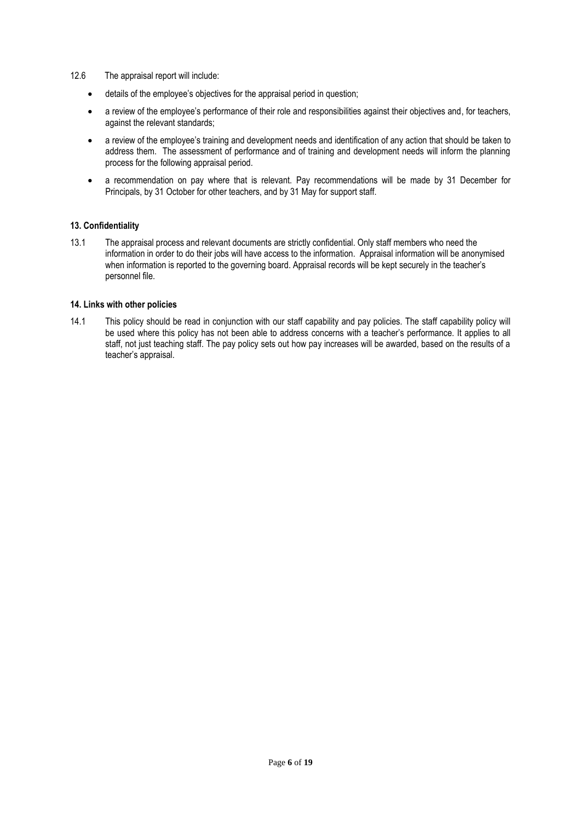- 12.6 The appraisal report will include:
	- details of the employee's objectives for the appraisal period in question;
	- a review of the employee's performance of their role and responsibilities against their objectives and, for teachers, against the relevant standards;
	- a review of the employee's training and development needs and identification of any action that should be taken to address them. The assessment of performance and of training and development needs will inform the planning process for the following appraisal period.
	- a recommendation on pay where that is relevant. Pay recommendations will be made by 31 December for Principals, by 31 October for other teachers, and by 31 May for support staff.

#### **13. Confidentiality**

13.1 The appraisal process and relevant documents are strictly confidential. Only staff members who need the information in order to do their jobs will have access to the information. Appraisal information will be anonymised when information is reported to the governing board. Appraisal records will be kept securely in the teacher's personnel file.

#### **14. Links with other policies**

14.1 This policy should be read in conjunction with our staff capability and pay policies. The staff capability policy will be used where this policy has not been able to address concerns with a teacher's performance. It applies to all staff, not just teaching staff. The pay policy sets out how pay increases will be awarded, based on the results of a teacher's appraisal.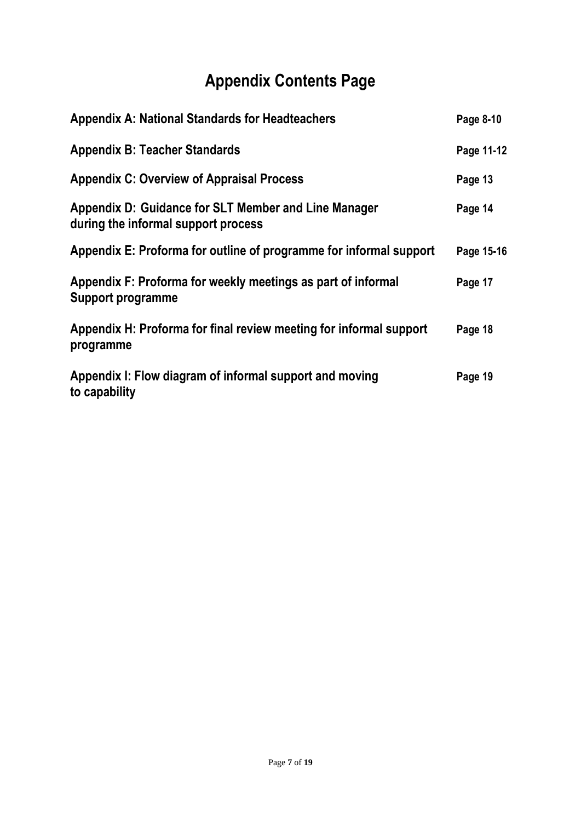## **Appendix Contents Page**

| <b>Appendix A: National Standards for Headteachers</b>                                      | Page 8-10  |
|---------------------------------------------------------------------------------------------|------------|
| <b>Appendix B: Teacher Standards</b>                                                        | Page 11-12 |
| <b>Appendix C: Overview of Appraisal Process</b>                                            | Page 13    |
| Appendix D: Guidance for SLT Member and Line Manager<br>during the informal support process | Page 14    |
| Appendix E: Proforma for outline of programme for informal support                          | Page 15-16 |
| Appendix F: Proforma for weekly meetings as part of informal<br>Support programme           | Page 17    |
| Appendix H: Proforma for final review meeting for informal support<br>programme             | Page 18    |
| Appendix I: Flow diagram of informal support and moving<br>to capability                    | Page 19    |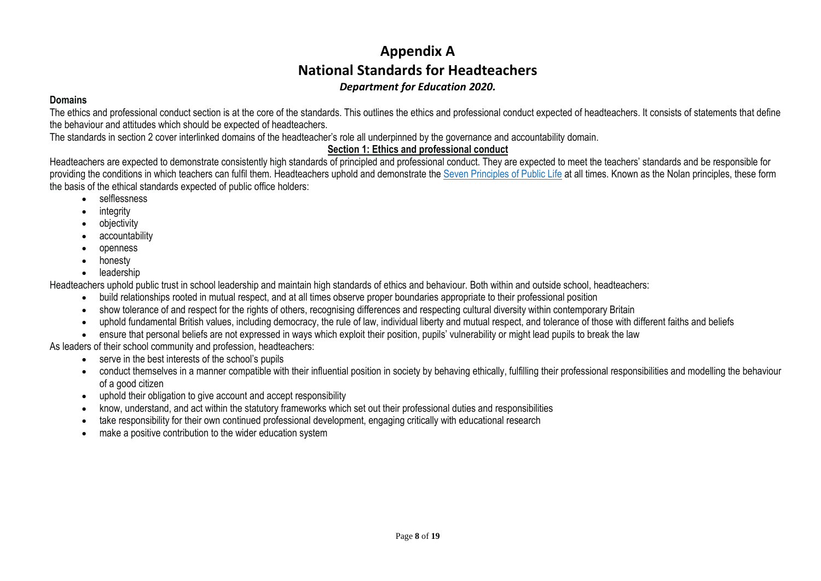## **Appendix A National Standards for Headteachers** *Department for Education 2020.*

#### **Domains**

The ethics and professional conduct section is at the core of the standards. This outlines the ethics and professional conduct expected of headteachers. It consists of statements that define the behaviour and attitudes which should be expected of headteachers.

The standards in section 2 cover interlinked domains of the headteacher's role all underpinned by the governance and accountability domain.

#### **Section 1: Ethics and professional conduct**

Headteachers are expected to demonstrate consistently high standards of principled and professional conduct. They are expected to meet the teachers' standards and be responsible for providing the conditions in which teachers can fulfil them. Headteachers uphold and demonstrate the Seven [Principles](https://www.gov.uk/government/publications/the-7-principles-of-public-life) of Public Life at all times. Known as the Nolan principles, these form the basis of the ethical standards expected of public office holders:

- selflessness
- integrity
- objectivity
- accountability
- openness
- honesty
- leadership

Headteachers uphold public trust in school leadership and maintain high standards of ethics and behaviour. Both within and outside school, headteachers:

- build relationships rooted in mutual respect, and at all times observe proper boundaries appropriate to their professional position
- show tolerance of and respect for the rights of others, recognising differences and respecting cultural diversity within contemporary Britain
- uphold fundamental British values, including democracy, the rule of law, individual liberty and mutual respect, and tolerance of those with different faiths and beliefs
- ensure that personal beliefs are not expressed in ways which exploit their position, pupils' vulnerability or might lead pupils to break the law

As leaders of their school community and profession, headteachers:

- serve in the best interests of the school's pupils
- conduct themselves in a manner compatible with their influential position in society by behaving ethically, fulfilling their professional responsibilities and modelling the behaviour of a good citizen
- uphold their obligation to give account and accept responsibility
- know, understand, and act within the statutory frameworks which set out their professional duties and responsibilities
- take responsibility for their own continued professional development, engaging critically with educational research
- make a positive contribution to the wider education system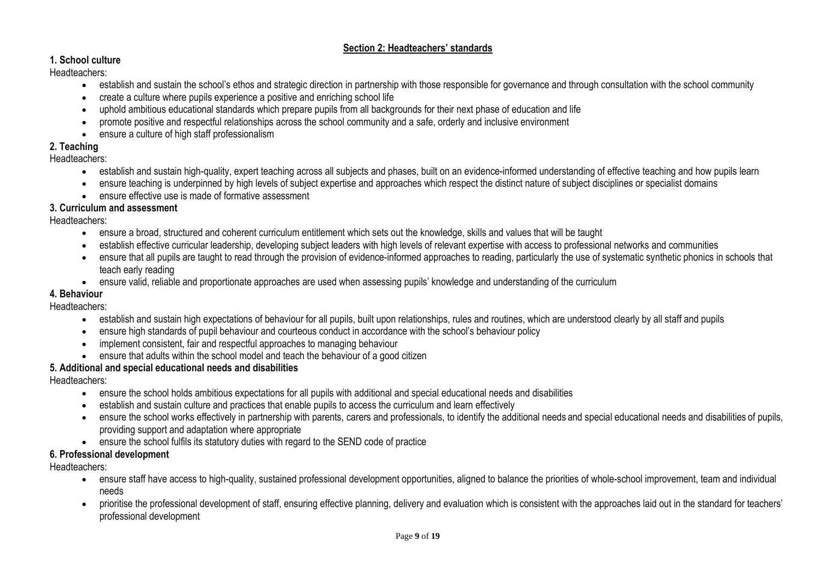#### **Section 2: Headteachers' standards**

#### **1. School culture**

Headteachers:

- establish and sustain the school's ethos and strategic direction in partnership with those responsible for governance and through consultation with the school community
- create a culture where pupils experience a positive and enriching school life
- uphold ambitious educational standards which prepare pupils from all backgrounds for their next phase of education and life
- promote positive and respectful relationships across the school community and a safe, orderly and inclusive environment
- ensure a culture of high staff professionalism

#### **2. Teaching**

#### Headteachers:

- establish and sustain high-quality, expert teaching across all subjects and phases, built on an evidence-informed understanding of effective teaching and how pupils learn
- ensure teaching is underpinned by high levels of subject expertise and approaches which respect the distinct nature of subject disciplines or specialist domains
- ensure effective use is made of formative assessment

#### **3. Curriculum and assessment**

Headteachers:

- ensure a broad, structured and coherent curriculum entitlement which sets out the knowledge, skills and values that will be taught
- establish effective curricular leadership, developing subject leaders with high levels of relevant expertise with access to professional networks and communities
- ensure that all pupils are taught to read through the provision of evidence-informed approaches to reading, particularly the use of systematic synthetic phonics in schools that teach early reading
- ensure valid, reliable and proportionate approaches are used when assessing pupils' knowledge and understanding of the curriculum

#### **4. Behaviour**

#### Headteachers:

- establish and sustain high expectations of behaviour for all pupils, built upon relationships, rules and routines, which are understood clearly by all staff and pupils
- ensure high standards of pupil behaviour and courteous conduct in accordance with the school's behaviour policy
- implement consistent, fair and respectful approaches to managing behaviour
- ensure that adults within the school model and teach the behaviour of a good citizen

#### **5. Additional and special educational needs and disabilities**

Headteachers:

- ensure the school holds ambitious expectations for all pupils with additional and special educational needs and disabilities
- establish and sustain culture and practices that enable pupils to access the curriculum and learn effectively
- ensure the school works effectively in partnership with parents, carers and professionals, to identify the additional needs and special educational needs and disabilities of pupils, providing support and adaptation where appropriate
- ensure the school fulfils its statutory duties with regard to the SEND code of practice

#### **6. Professional development**

Headteachers:

- ensure staff have access to high-quality, sustained professional development opportunities, aligned to balance the priorities of whole-school improvement, team and individual needs
- prioritise the professional development of staff, ensuring effective planning, delivery and evaluation which is consistent with the approaches laid out in the standard for teachers' professional development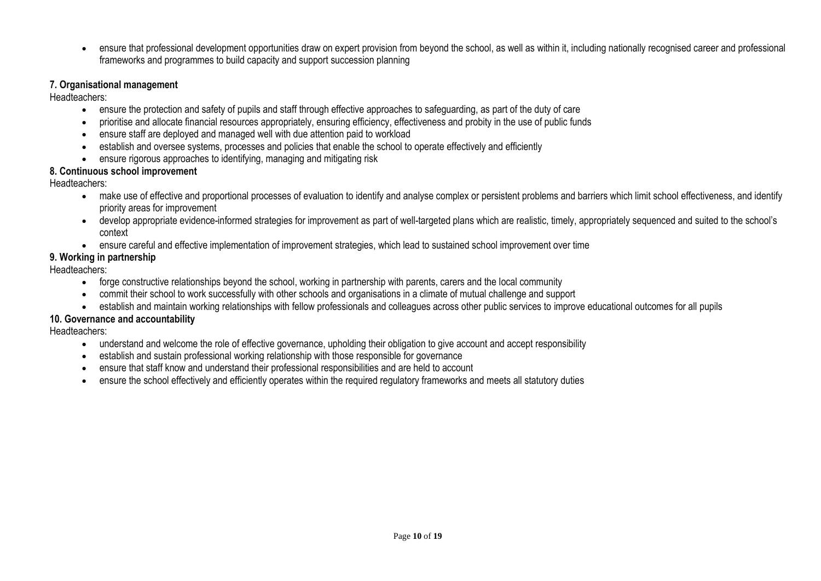• ensure that professional development opportunities draw on expert provision from beyond the school, as well as within it, including nationally recognised career and professional frameworks and programmes to build capacity and support succession planning

#### **7. Organisational management**

Headteachers:

- ensure the protection and safety of pupils and staff through effective approaches to safeguarding, as part of the duty of care
- prioritise and allocate financial resources appropriately, ensuring efficiency, effectiveness and probity in the use of public funds
- ensure staff are deployed and managed well with due attention paid to workload
- establish and oversee systems, processes and policies that enable the school to operate effectively and efficiently
- ensure rigorous approaches to identifying, managing and mitigating risk

#### **8. Continuous school improvement**

Headteachers:

- make use of effective and proportional processes of evaluation to identify and analyse complex or persistent problems and barriers which limit school effectiveness, and identify priority areas for improvement
- develop appropriate evidence-informed strategies for improvement as part of well-targeted plans which are realistic, timely, appropriately sequenced and suited to the school's context
- ensure careful and effective implementation of improvement strategies, which lead to sustained school improvement over time

#### **9. Working in partnership**

Headteachers:

- forge constructive relationships beyond the school, working in partnership with parents, carers and the local community
- commit their school to work successfully with other schools and organisations in a climate of mutual challenge and support
- establish and maintain working relationships with fellow professionals and colleagues across other public services to improve educational outcomes for all pupils

#### **10. Governance and accountability**

Headteachers:

- understand and welcome the role of effective governance, upholding their obligation to give account and accept responsibility
- establish and sustain professional working relationship with those responsible for governance
- ensure that staff know and understand their professional responsibilities and are held to account
- ensure the school effectively and efficiently operates within the required regulatory frameworks and meets all statutory duties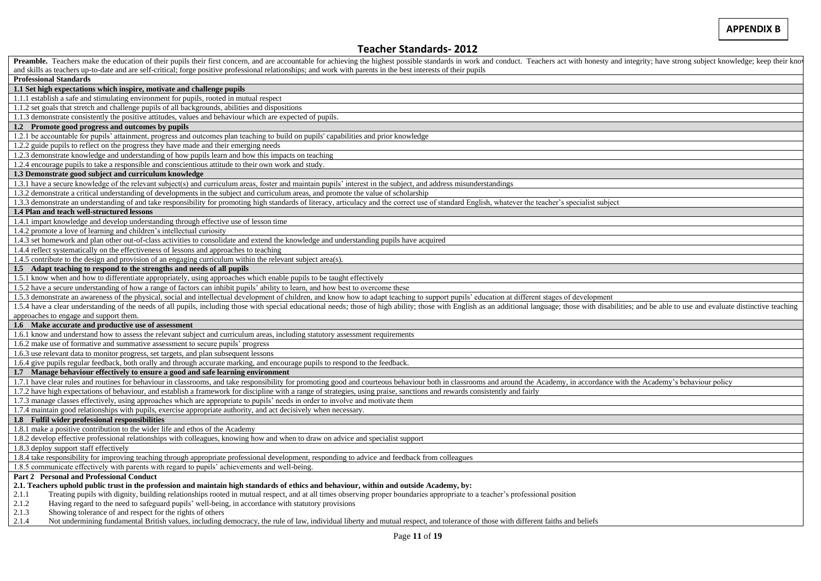#### **Teacher Standards- 2012**

| Preamble. Teachers make the education of their pupils their first concern, and are accountable for achieving the highest possible standards in work and conduct. Teachers act with honesty and integrity; have strong subject                                                                                                                                                                                 |  |  |  |
|---------------------------------------------------------------------------------------------------------------------------------------------------------------------------------------------------------------------------------------------------------------------------------------------------------------------------------------------------------------------------------------------------------------|--|--|--|
| and skills as teachers up-to-date and are self-critical; forge positive professional relationships; and work with parents in the best interests of their pupils                                                                                                                                                                                                                                               |  |  |  |
| <b>Professional Standards</b>                                                                                                                                                                                                                                                                                                                                                                                 |  |  |  |
| 1.1 Set high expectations which inspire, motivate and challenge pupils                                                                                                                                                                                                                                                                                                                                        |  |  |  |
| 1.1.1 establish a safe and stimulating environment for pupils, rooted in mutual respect                                                                                                                                                                                                                                                                                                                       |  |  |  |
| 1.1.2 set goals that stretch and challenge pupils of all backgrounds, abilities and dispositions                                                                                                                                                                                                                                                                                                              |  |  |  |
| 1.1.3 demonstrate consistently the positive attitudes, values and behaviour which are expected of pupils.                                                                                                                                                                                                                                                                                                     |  |  |  |
| 1.2 Promote good progress and outcomes by pupils                                                                                                                                                                                                                                                                                                                                                              |  |  |  |
| 1.2.1 be accountable for pupils' attainment, progress and outcomes plan teaching to build on pupils' capabilities and prior knowledge                                                                                                                                                                                                                                                                         |  |  |  |
| 1.2.2 guide pupils to reflect on the progress they have made and their emerging needs                                                                                                                                                                                                                                                                                                                         |  |  |  |
| 1.2.3 demonstrate knowledge and understanding of how pupils learn and how this impacts on teaching                                                                                                                                                                                                                                                                                                            |  |  |  |
| 1.2.4 encourage pupils to take a responsible and conscientious attitude to their own work and study.                                                                                                                                                                                                                                                                                                          |  |  |  |
| 1.3 Demonstrate good subject and curriculum knowledge                                                                                                                                                                                                                                                                                                                                                         |  |  |  |
| 1.3.1 have a secure knowledge of the relevant subject(s) and curriculum areas, foster and maintain pupils' interest in the subject, and address misunderstandings                                                                                                                                                                                                                                             |  |  |  |
| 1.3.2 demonstrate a critical understanding of developments in the subject and curriculum areas, and promote the value of scholarship                                                                                                                                                                                                                                                                          |  |  |  |
| 1.3.3 demonstrate an understanding of and take responsibility for promoting high standards of literacy, articulacy and the correct use of standard English, whatever the teacher's specialist subject                                                                                                                                                                                                         |  |  |  |
| 1.4 Plan and teach well-structured lessons                                                                                                                                                                                                                                                                                                                                                                    |  |  |  |
| 1.4.1 impart knowledge and develop understanding through effective use of lesson time                                                                                                                                                                                                                                                                                                                         |  |  |  |
| 1.4.2 promote a love of learning and children's intellectual curiosity                                                                                                                                                                                                                                                                                                                                        |  |  |  |
| 1.4.3 set homework and plan other out-of-class activities to consolidate and extend the knowledge and understanding pupils have acquired                                                                                                                                                                                                                                                                      |  |  |  |
| 1.4.4 reflect systematically on the effectiveness of lessons and approaches to teaching                                                                                                                                                                                                                                                                                                                       |  |  |  |
| 1.4.5 contribute to the design and provision of an engaging curriculum within the relevant subject area(s).                                                                                                                                                                                                                                                                                                   |  |  |  |
| 1.5 Adapt teaching to respond to the strengths and needs of all pupils                                                                                                                                                                                                                                                                                                                                        |  |  |  |
| 1.5.1 know when and how to differentiate appropriately, using approaches which enable pupils to be taught effectively                                                                                                                                                                                                                                                                                         |  |  |  |
| 1.5.2 have a secure understanding of how a range of factors can inhibit pupils' ability to learn, and how best to overcome these                                                                                                                                                                                                                                                                              |  |  |  |
| 1.5.3 demonstrate an awareness of the physical, social and intellectual development of children, and know how to adapt teaching to support pupils' education at different stages of development                                                                                                                                                                                                               |  |  |  |
| 1.5.4 have a clear understanding of the needs of all pupils, including those with special educational needs; those of high ability; those with English as an additional language; those with disabilities; and be able to use                                                                                                                                                                                 |  |  |  |
| approaches to engage and support them.                                                                                                                                                                                                                                                                                                                                                                        |  |  |  |
| 1.6 Make accurate and productive use of assessment                                                                                                                                                                                                                                                                                                                                                            |  |  |  |
| 1.6.1 know and understand how to assess the relevant subject and curriculum areas, including statutory assessment requirements                                                                                                                                                                                                                                                                                |  |  |  |
| 1.6.2 make use of formative and summative assessment to secure pupils' progress                                                                                                                                                                                                                                                                                                                               |  |  |  |
| 1.6.3 use relevant data to monitor progress, set targets, and plan subsequent lessons                                                                                                                                                                                                                                                                                                                         |  |  |  |
| 1.6.4 give pupils regular feedback, both orally and through accurate marking, and encourage pupils to respond to the feedback.                                                                                                                                                                                                                                                                                |  |  |  |
| 1.7 Manage behaviour effectively to ensure a good and safe learning environment                                                                                                                                                                                                                                                                                                                               |  |  |  |
| 1.7.1 have clear rules and routines for behaviour in classrooms, and take responsibility for promoting good and courteous behaviour both in classrooms and around the Academy, in accordance with the Academy's behaviour poli<br>1.7.2 have high expectations of behaviour, and establish a framework for discipline with a range of strategies, using praise, sanctions and rewards consistently and fairly |  |  |  |
| 1.7.3 manage classes effectively, using approaches which are appropriate to pupils' needs in order to involve and motivate them                                                                                                                                                                                                                                                                               |  |  |  |
| 1.7.4 maintain good relationships with pupils, exercise appropriate authority, and act decisively when necessary.                                                                                                                                                                                                                                                                                             |  |  |  |
| 1.8 Fulfil wider professional responsibilities                                                                                                                                                                                                                                                                                                                                                                |  |  |  |
|                                                                                                                                                                                                                                                                                                                                                                                                               |  |  |  |
| 1.8.1 make a positive contribution to the wider life and ethos of the Academy<br>1.8.2 develop effective professional relationships with colleagues, knowing how and when to draw on advice and specialist support                                                                                                                                                                                            |  |  |  |
| 1.8.3 deploy support staff effectively                                                                                                                                                                                                                                                                                                                                                                        |  |  |  |
| 1.8.4 take responsibility for improving teaching through appropriate professional development, responding to advice and feedback from colleagues                                                                                                                                                                                                                                                              |  |  |  |
| 1.8.5 communicate effectively with parents with regard to pupils' achievements and well-being.                                                                                                                                                                                                                                                                                                                |  |  |  |
| <b>Part 2 Personal and Professional Conduct</b>                                                                                                                                                                                                                                                                                                                                                               |  |  |  |
| 2.1. Teachers uphold public trust in the profession and maintain high standards of ethics and behaviour, within and outside Academy, by:                                                                                                                                                                                                                                                                      |  |  |  |
| Treating pupils with dignity, building relationships rooted in mutual respect, and at all times observing proper boundaries appropriate to a teacher's professional position<br>2.1.1                                                                                                                                                                                                                         |  |  |  |
| Having regard to the need to safeguard pupils' well-being, in accordance with statutory provisions<br>2.1.2                                                                                                                                                                                                                                                                                                   |  |  |  |
| 2.1.3<br>Showing tolerance of and respect for the rights of others                                                                                                                                                                                                                                                                                                                                            |  |  |  |
|                                                                                                                                                                                                                                                                                                                                                                                                               |  |  |  |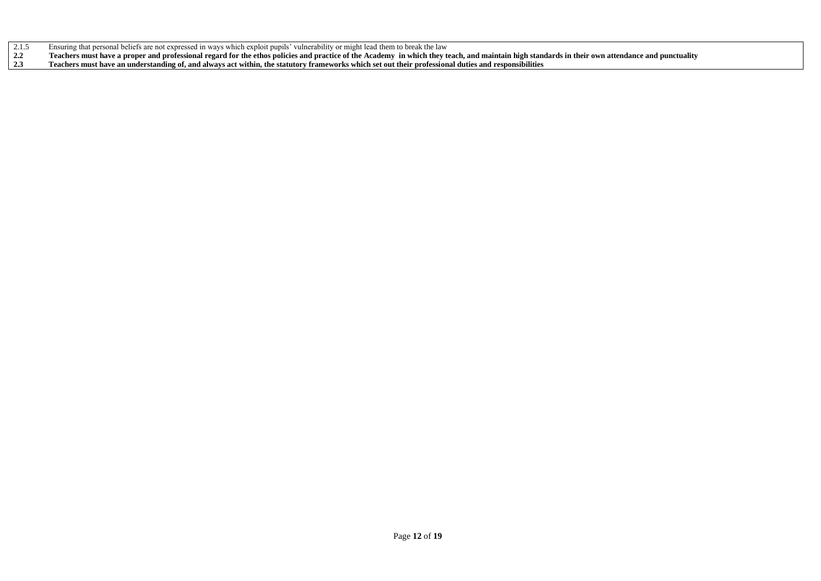- 2.1.5 Ensuring that personal beliefs are not expressed in ways which exploit pupils' vulnerability or might lead them to break the law<br>2.2 Teachers must have a proper and professional regard for the ethos policies and prac
- **2.2 Teachers must have a proper and professional regard for the ethos policies and practice of the Academy in which they teach, and maintain high standards in their own attendance and punctuality**
- **2.3 Teachers must have an understanding of, and always act within, the statutory frameworks which set out their professional duties and responsibilities**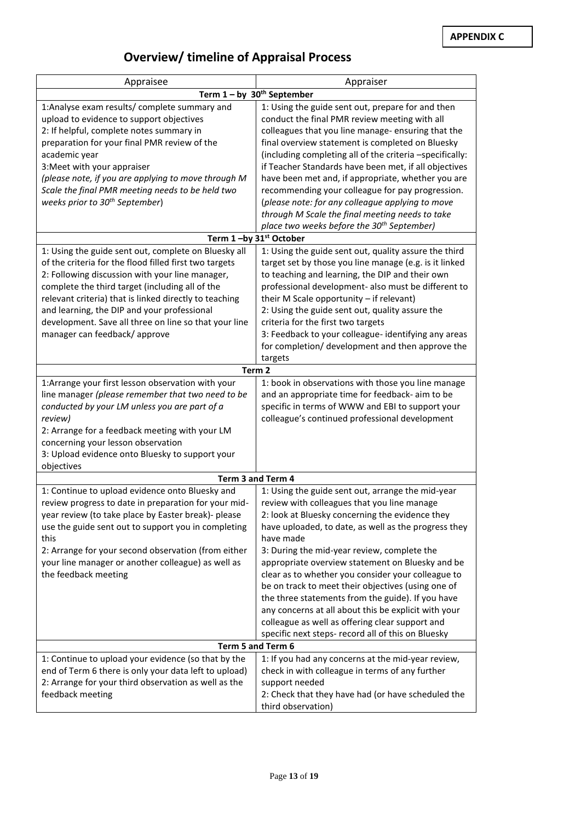## **Overview/ timeline of Appraisal Process**

| Appraisee                                                                                                                                                                                                                                                                                                                                                                                                              | Appraiser                                                                                                                                                                                                                                                                                                                                                                                                                                                                                                                                                                                                                                                     |
|------------------------------------------------------------------------------------------------------------------------------------------------------------------------------------------------------------------------------------------------------------------------------------------------------------------------------------------------------------------------------------------------------------------------|---------------------------------------------------------------------------------------------------------------------------------------------------------------------------------------------------------------------------------------------------------------------------------------------------------------------------------------------------------------------------------------------------------------------------------------------------------------------------------------------------------------------------------------------------------------------------------------------------------------------------------------------------------------|
|                                                                                                                                                                                                                                                                                                                                                                                                                        | Term $1 - by 30th September$                                                                                                                                                                                                                                                                                                                                                                                                                                                                                                                                                                                                                                  |
| 1:Analyse exam results/ complete summary and<br>upload to evidence to support objectives<br>2: If helpful, complete notes summary in<br>preparation for your final PMR review of the<br>academic year<br>3: Meet with your appraiser<br>(please note, if you are applying to move through M<br>Scale the final PMR meeting needs to be held two<br>weeks prior to 30 <sup>th</sup> September)                          | 1: Using the guide sent out, prepare for and then<br>conduct the final PMR review meeting with all<br>colleagues that you line manage- ensuring that the<br>final overview statement is completed on Bluesky<br>(including completing all of the criteria -specifically:<br>if Teacher Standards have been met, if all objectives<br>have been met and, if appropriate, whether you are<br>recommending your colleague for pay progression.<br>(please note: for any colleague applying to move<br>through M Scale the final meeting needs to take<br>place two weeks before the 30 <sup>th</sup> September)                                                  |
| Term 1-by 31st October                                                                                                                                                                                                                                                                                                                                                                                                 |                                                                                                                                                                                                                                                                                                                                                                                                                                                                                                                                                                                                                                                               |
| 1: Using the guide sent out, complete on Bluesky all<br>of the criteria for the flood filled first two targets<br>2: Following discussion with your line manager,<br>complete the third target (including all of the<br>relevant criteria) that is linked directly to teaching<br>and learning, the DIP and your professional<br>development. Save all three on line so that your line<br>manager can feedback/approve | 1: Using the guide sent out, quality assure the third<br>target set by those you line manage (e.g. is it linked<br>to teaching and learning, the DIP and their own<br>professional development- also must be different to<br>their M Scale opportunity - if relevant)<br>2: Using the guide sent out, quality assure the<br>criteria for the first two targets<br>3: Feedback to your colleague- identifying any areas<br>for completion/ development and then approve the<br>targets                                                                                                                                                                         |
| Term <sub>2</sub>                                                                                                                                                                                                                                                                                                                                                                                                      |                                                                                                                                                                                                                                                                                                                                                                                                                                                                                                                                                                                                                                                               |
| 1: Arrange your first lesson observation with your<br>line manager (please remember that two need to be<br>conducted by your LM unless you are part of a<br>review)<br>2: Arrange for a feedback meeting with your LM<br>concerning your lesson observation<br>3: Upload evidence onto Bluesky to support your<br>objectives                                                                                           | 1: book in observations with those you line manage<br>and an appropriate time for feedback- aim to be<br>specific in terms of WWW and EBI to support your<br>colleague's continued professional development                                                                                                                                                                                                                                                                                                                                                                                                                                                   |
|                                                                                                                                                                                                                                                                                                                                                                                                                        | Term 3 and Term 4                                                                                                                                                                                                                                                                                                                                                                                                                                                                                                                                                                                                                                             |
| 1: Continue to upload evidence onto Bluesky and<br>review progress to date in preparation for your mid-<br>year review (to take place by Easter break)- please<br>use the guide sent out to support you in completing<br>this<br>2: Arrange for your second observation (from either<br>your line manager or another colleague) as well as<br>the feedback meeting                                                     | 1: Using the guide sent out, arrange the mid-year<br>review with colleagues that you line manage<br>2: look at Bluesky concerning the evidence they<br>have uploaded, to date, as well as the progress they<br>have made<br>3: During the mid-year review, complete the<br>appropriate overview statement on Bluesky and be<br>clear as to whether you consider your colleague to<br>be on track to meet their objectives (using one of<br>the three statements from the guide). If you have<br>any concerns at all about this be explicit with your<br>colleague as well as offering clear support and<br>specific next steps- record all of this on Bluesky |
|                                                                                                                                                                                                                                                                                                                                                                                                                        | Term 5 and Term 6                                                                                                                                                                                                                                                                                                                                                                                                                                                                                                                                                                                                                                             |
| 1: Continue to upload your evidence (so that by the<br>end of Term 6 there is only your data left to upload)<br>2: Arrange for your third observation as well as the<br>feedback meeting                                                                                                                                                                                                                               | 1: If you had any concerns at the mid-year review,<br>check in with colleague in terms of any further<br>support needed<br>2: Check that they have had (or have scheduled the<br>third observation)                                                                                                                                                                                                                                                                                                                                                                                                                                                           |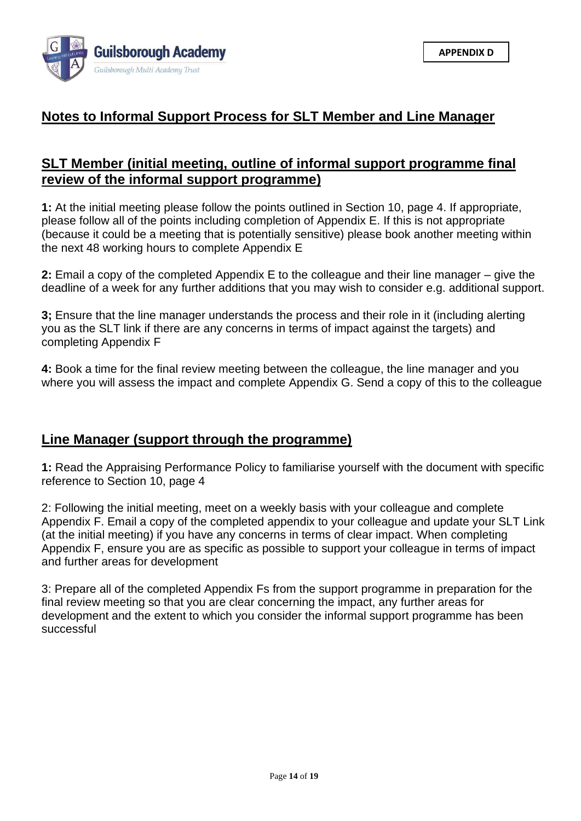

## **Notes to Informal Support Process for SLT Member and Line Manager**

## **SLT Member (initial meeting, outline of informal support programme final review of the informal support programme)**

**1:** At the initial meeting please follow the points outlined in Section 10, page 4. If appropriate, please follow all of the points including completion of Appendix E. If this is not appropriate (because it could be a meeting that is potentially sensitive) please book another meeting within the next 48 working hours to complete Appendix E

**2:** Email a copy of the completed Appendix E to the colleague and their line manager – give the deadline of a week for any further additions that you may wish to consider e.g. additional support.

**3;** Ensure that the line manager understands the process and their role in it (including alerting you as the SLT link if there are any concerns in terms of impact against the targets) and completing Appendix F

**4:** Book a time for the final review meeting between the colleague, the line manager and you where you will assess the impact and complete Appendix G. Send a copy of this to the colleague

## **Line Manager (support through the programme)**

**1:** Read the Appraising Performance Policy to familiarise yourself with the document with specific reference to Section 10, page 4

2: Following the initial meeting, meet on a weekly basis with your colleague and complete Appendix F. Email a copy of the completed appendix to your colleague and update your SLT Link (at the initial meeting) if you have any concerns in terms of clear impact. When completing Appendix F, ensure you are as specific as possible to support your colleague in terms of impact and further areas for development

3: Prepare all of the completed Appendix Fs from the support programme in preparation for the final review meeting so that you are clear concerning the impact, any further areas for development and the extent to which you consider the informal support programme has been successful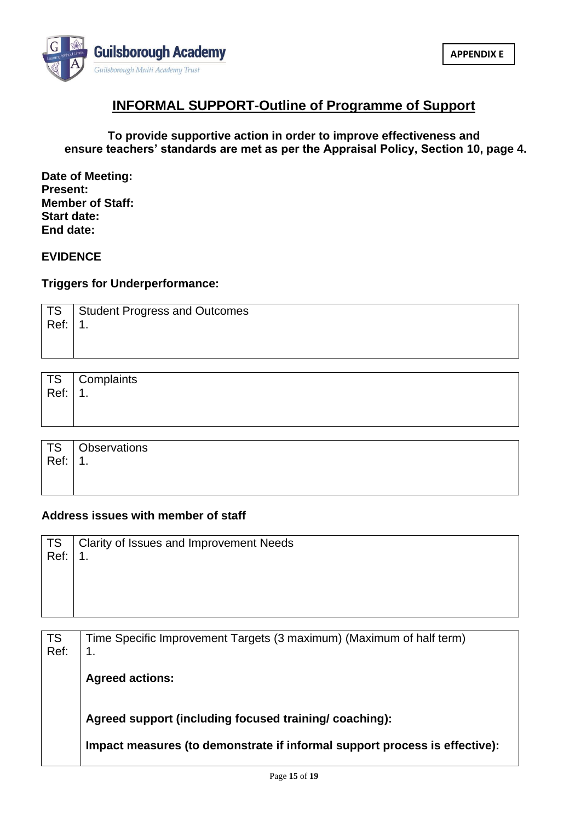

## **INFORMAL SUPPORT-Outline of Programme of Support**

#### **To provide supportive action in order to improve effectiveness and ensure teachers' standards are met as per the Appraisal Policy, Section 10, page 4.**

**Date of Meeting: Present: Member of Staff: Start date: End date:**

#### **EVIDENCE**

#### **Triggers for Underperformance:**

|         | TS   Student Progress and Outcomes |
|---------|------------------------------------|
| Ref: 1. |                                    |
|         |                                    |
|         |                                    |

| TS Complaints<br>Ref: 1. |
|--------------------------|
|                          |

| $\overline{\phantom{a}}$ TS | <b>Observations</b> |
|-----------------------------|---------------------|
| Ref:                        | ◢<br>.              |
|                             |                     |
|                             |                     |

#### **Address issues with member of staff**

| TS   | Clarity of Issues and Improvement Needs |
|------|-----------------------------------------|
| Ref: | $\mathbf 1$ .                           |
|      |                                         |
|      |                                         |
|      |                                         |
|      |                                         |

| TS<br>Ref: | Time Specific Improvement Targets (3 maximum) (Maximum of half term)       |
|------------|----------------------------------------------------------------------------|
|            |                                                                            |
|            | <b>Agreed actions:</b>                                                     |
|            |                                                                            |
|            | Agreed support (including focused training/ coaching):                     |
|            | Impact measures (to demonstrate if informal support process is effective): |
|            |                                                                            |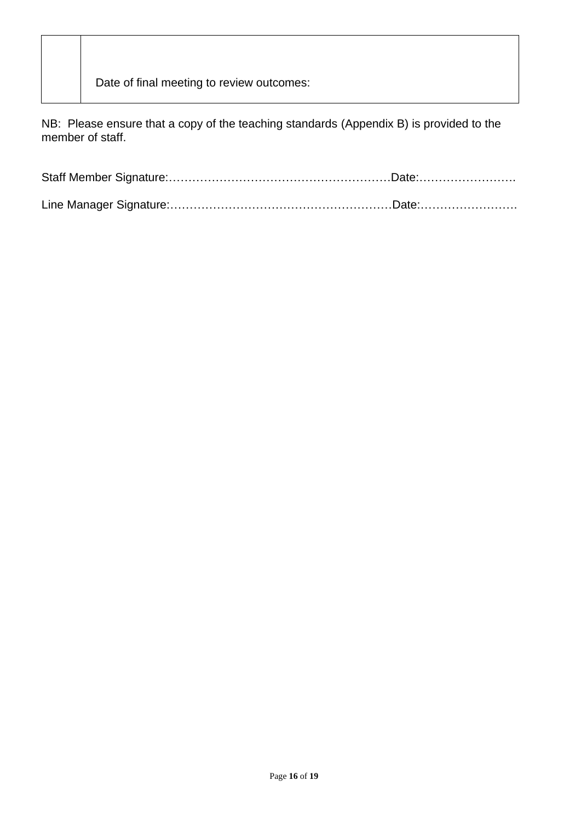Date of final meeting to review outcomes:

NB: Please ensure that a copy of the teaching standards (Appendix B) is provided to the member of staff.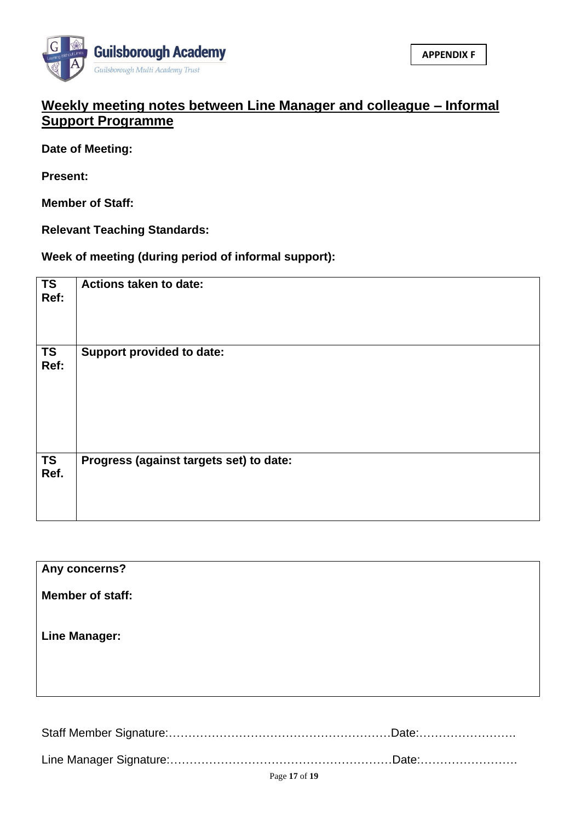

## **Weekly meeting notes between Line Manager and colleague – Informal Support Programme**

**Date of Meeting:**

**Present:**

**Member of Staff:**

**Relevant Teaching Standards:**

**Week of meeting (during period of informal support):**

| <b>TS</b><br>Ref: | Actions taken to date:                  |
|-------------------|-----------------------------------------|
| <b>TS</b><br>Ref: | <b>Support provided to date:</b>        |
| <b>TS</b><br>Ref. | Progress (against targets set) to date: |

| Any concerns?           |  |
|-------------------------|--|
| <b>Member of staff:</b> |  |
| <b>Line Manager:</b>    |  |
|                         |  |
|                         |  |

Staff Member Signature:…………………………………………………Date:…………………….

Line Manager Signature:…………………………………………………Date:…………………….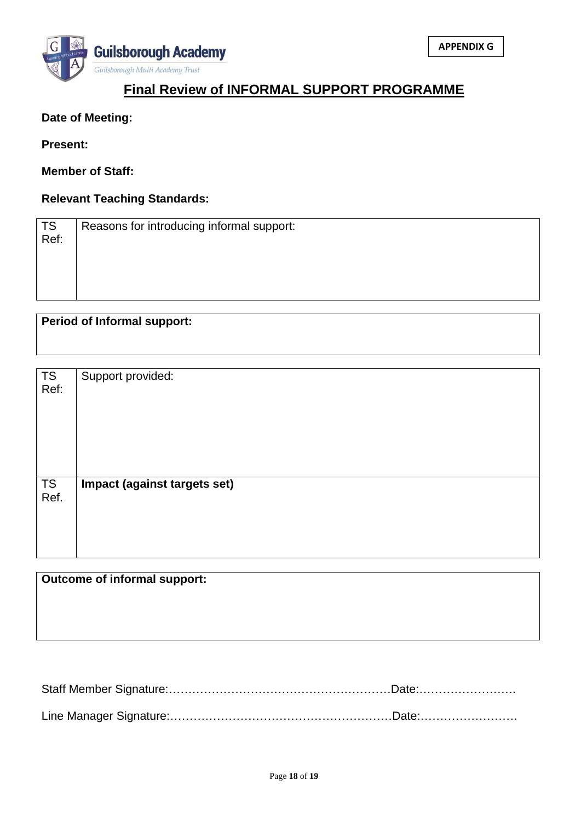

## **Final Review of INFORMAL SUPPORT PROGRAMME**

#### **Date of Meeting:**

**Present:**

**Member of Staff:**

#### **Relevant Teaching Standards:**

| TS<br>Ref: | Reasons for introducing informal support: |
|------------|-------------------------------------------|
|            |                                           |

**Period of Informal support:**

| <b>TS</b><br>Ref: | Support provided:            |
|-------------------|------------------------------|
| <b>TS</b><br>Ref. | Impact (against targets set) |

## **Outcome of informal support:**

Staff Member Signature:…………………………………………………Date:……………………. Line Manager Signature:…………………………………………………Date:…………………….